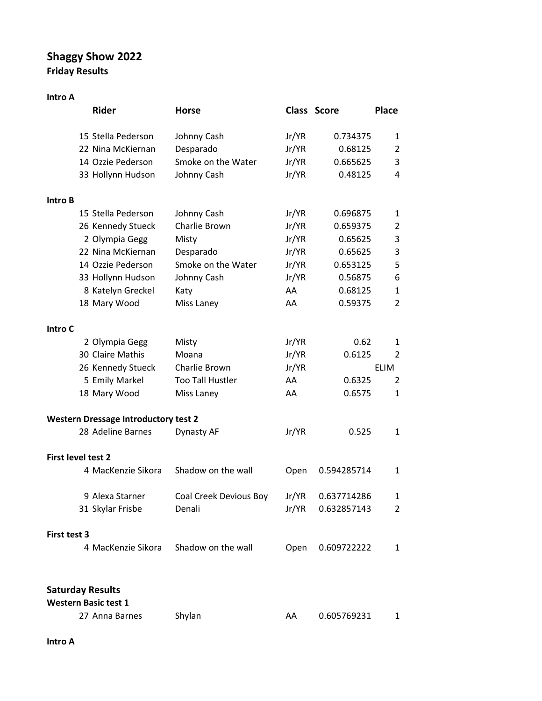## Shaggy Show 2022 Friday Results

## Intro A

|                             | <b>Rider</b>                                | <b>Horse</b>            |       | <b>Class Score</b> | <b>Place</b>   |
|-----------------------------|---------------------------------------------|-------------------------|-------|--------------------|----------------|
|                             | 15 Stella Pederson                          | Johnny Cash             | Jr/YR | 0.734375           | 1              |
|                             | 22 Nina McKiernan                           | Desparado               | Jr/YR | 0.68125            | 2              |
|                             | 14 Ozzie Pederson                           | Smoke on the Water      | Jr/YR | 0.665625           | 3              |
|                             | 33 Hollynn Hudson                           | Johnny Cash             | Jr/YR | 0.48125            | 4              |
| Intro B                     |                                             |                         |       |                    |                |
|                             | 15 Stella Pederson                          | Johnny Cash             | Jr/YR | 0.696875           | 1              |
|                             | 26 Kennedy Stueck                           | Charlie Brown           | Jr/YR | 0.659375           | 2              |
|                             | 2 Olympia Gegg                              | Misty                   | Jr/YR | 0.65625            | 3              |
|                             | 22 Nina McKiernan                           | Desparado               | Jr/YR | 0.65625            | 3              |
|                             | 14 Ozzie Pederson                           | Smoke on the Water      | Jr/YR | 0.653125           | 5              |
|                             | 33 Hollynn Hudson                           | Johnny Cash             | Jr/YR | 0.56875            | 6              |
|                             | 8 Katelyn Greckel                           | Katy                    | AA    | 0.68125            | 1              |
|                             | 18 Mary Wood                                | Miss Laney              | AA    | 0.59375            | $\overline{2}$ |
| Intro C                     |                                             |                         |       |                    |                |
|                             | 2 Olympia Gegg                              | Misty                   | Jr/YR | 0.62               | 1              |
|                             | 30 Claire Mathis                            | Moana                   | Jr/YR | 0.6125             | $\overline{2}$ |
|                             | 26 Kennedy Stueck                           | Charlie Brown           | Jr/YR |                    | <b>ELIM</b>    |
|                             | 5 Emily Markel                              | <b>Too Tall Hustler</b> | AA    | 0.6325             | 2              |
|                             |                                             |                         | AA    |                    | $\mathbf{1}$   |
|                             | 18 Mary Wood                                | Miss Laney              |       | 0.6575             |                |
|                             | <b>Western Dressage Introductory test 2</b> |                         |       |                    |                |
|                             | 28 Adeline Barnes                           | Dynasty AF              | Jr/YR | 0.525              | 1              |
| <b>First level test 2</b>   |                                             |                         |       |                    |                |
|                             | 4 MacKenzie Sikora                          | Shadow on the wall      | Open  | 0.594285714        | 1              |
|                             | 9 Alexa Starner                             | Coal Creek Devious Boy  | Jr/YR | 0.637714286        | 1              |
|                             | 31 Skylar Frisbe                            | Denali                  | Jr/YR | 0.632857143        | 2              |
| <b>First test 3</b>         |                                             |                         |       |                    |                |
|                             | 4 MacKenzie Sikora                          | Shadow on the wall      | Open  | 0.609722222        | 1              |
|                             |                                             |                         |       |                    |                |
| <b>Saturday Results</b>     |                                             |                         |       |                    |                |
| <b>Western Basic test 1</b> |                                             |                         |       |                    |                |
|                             | 27 Anna Barnes                              | Shylan                  | AA    | 0.605769231        | 1              |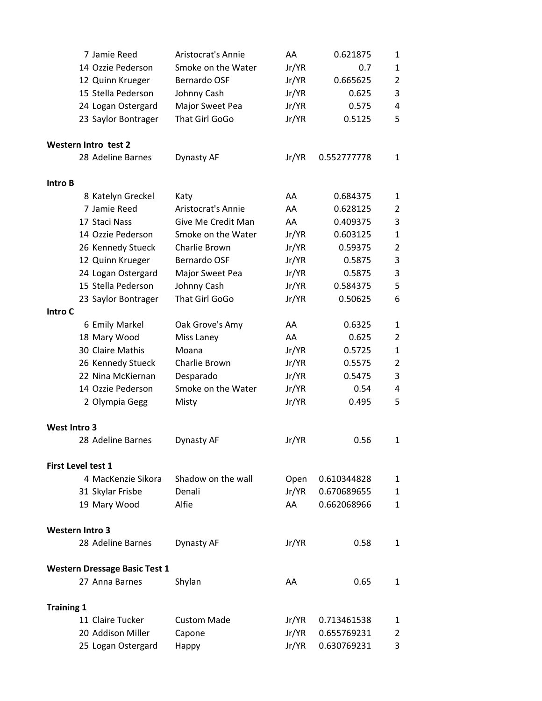|                                      | 7 Jamie Reed         | Aristocrat's Annie | AA    | 0.621875    | 1              |  |
|--------------------------------------|----------------------|--------------------|-------|-------------|----------------|--|
|                                      | 14 Ozzie Pederson    | Smoke on the Water | Jr/YR | 0.7         | 1              |  |
|                                      | 12 Quinn Krueger     | Bernardo OSF       | Jr/YR | 0.665625    | $\overline{2}$ |  |
|                                      | 15 Stella Pederson   | Johnny Cash        | Jr/YR | 0.625       | 3              |  |
|                                      | 24 Logan Ostergard   | Major Sweet Pea    | Jr/YR | 0.575       | 4              |  |
|                                      | 23 Saylor Bontrager  | That Girl GoGo     | Jr/YR | 0.5125      | 5              |  |
|                                      | Western Intro test 2 |                    |       |             |                |  |
|                                      | 28 Adeline Barnes    | Dynasty AF         | Jr/YR | 0.552777778 | $\mathbf{1}$   |  |
| Intro B                              |                      |                    |       |             |                |  |
|                                      | 8 Katelyn Greckel    | Katy               | AA    | 0.684375    | $\mathbf{1}$   |  |
|                                      | 7 Jamie Reed         | Aristocrat's Annie | AA    | 0.628125    | $\overline{2}$ |  |
|                                      | 17 Staci Nass        | Give Me Credit Man | AA    | 0.409375    | 3              |  |
|                                      | 14 Ozzie Pederson    | Smoke on the Water | Jr/YR | 0.603125    | $\mathbf{1}$   |  |
|                                      | 26 Kennedy Stueck    | Charlie Brown      | Jr/YR | 0.59375     | $\overline{2}$ |  |
|                                      | 12 Quinn Krueger     | Bernardo OSF       | Jr/YR | 0.5875      | 3              |  |
|                                      | 24 Logan Ostergard   | Major Sweet Pea    | Jr/YR | 0.5875      | 3              |  |
|                                      | 15 Stella Pederson   | Johnny Cash        | Jr/YR | 0.584375    | 5              |  |
|                                      | 23 Saylor Bontrager  | That Girl GoGo     | Jr/YR | 0.50625     | 6              |  |
| Intro C                              |                      |                    |       |             |                |  |
|                                      | 6 Emily Markel       | Oak Grove's Amy    | AA    | 0.6325      | $\mathbf{1}$   |  |
|                                      | 18 Mary Wood         | Miss Laney         | AA    | 0.625       | $\overline{2}$ |  |
|                                      | 30 Claire Mathis     | Moana              | Jr/YR | 0.5725      | $\mathbf{1}$   |  |
|                                      | 26 Kennedy Stueck    | Charlie Brown      | Jr/YR | 0.5575      | $\overline{2}$ |  |
|                                      | 22 Nina McKiernan    | Desparado          | Jr/YR | 0.5475      | 3              |  |
|                                      | 14 Ozzie Pederson    | Smoke on the Water | Jr/YR | 0.54        | 4              |  |
|                                      | 2 Olympia Gegg       | Misty              | Jr/YR | 0.495       | 5              |  |
| <b>West Intro 3</b>                  |                      |                    |       |             |                |  |
|                                      | 28 Adeline Barnes    | Dynasty AF         | Jr/YR | 0.56        | $\mathbf{1}$   |  |
| First Level test 1                   |                      |                    |       |             |                |  |
|                                      | 4 MacKenzie Sikora   | Shadow on the wall | Open  | 0.610344828 | $\mathbf{1}$   |  |
|                                      | 31 Skylar Frisbe     | Denali             | Jr/YR | 0.670689655 | 1              |  |
|                                      | 19 Mary Wood         | Alfie              | AA    | 0.662068966 | 1              |  |
| <b>Western Intro 3</b>               |                      |                    |       |             |                |  |
|                                      | 28 Adeline Barnes    | Dynasty AF         | Jr/YR | 0.58        | 1              |  |
| <b>Western Dressage Basic Test 1</b> |                      |                    |       |             |                |  |
|                                      | 27 Anna Barnes       | Shylan             | AA    | 0.65        | 1              |  |
| <b>Training 1</b>                    |                      |                    |       |             |                |  |
|                                      | 11 Claire Tucker     | <b>Custom Made</b> | Jr/YR | 0.713461538 | 1              |  |
|                                      | 20 Addison Miller    | Capone             | Jr/YR | 0.655769231 | 2              |  |
|                                      | 25 Logan Ostergard   | Happy              | Jr/YR | 0.630769231 | 3              |  |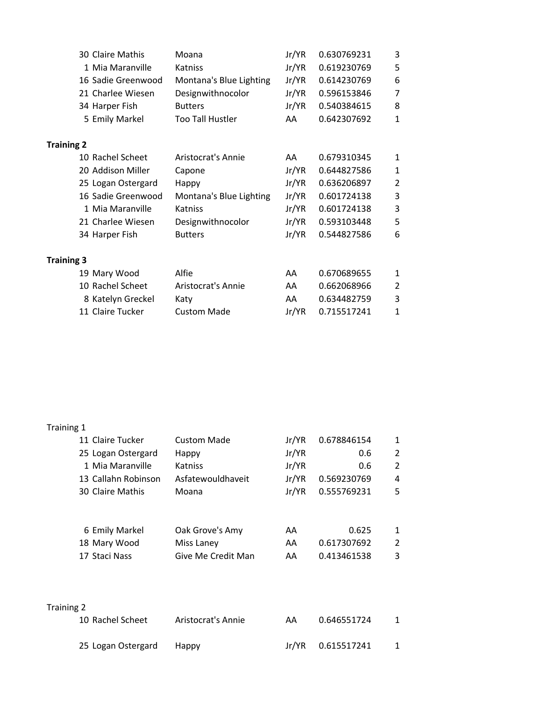|                   | 30 Claire Mathis   | Moana                   | Jr/YR | 0.630769231 | 3              |
|-------------------|--------------------|-------------------------|-------|-------------|----------------|
|                   | 1 Mia Maranville   | Katniss                 | Jr/YR | 0.619230769 | 5              |
|                   | 16 Sadie Greenwood | Montana's Blue Lighting | Jr/YR | 0.614230769 | 6              |
|                   | 21 Charlee Wiesen  | Designwithnocolor       | Jr/YR | 0.596153846 | 7              |
|                   | 34 Harper Fish     | <b>Butters</b>          | Jr/YR | 0.540384615 | 8              |
|                   | 5 Emily Markel     | <b>Too Tall Hustler</b> | AA    | 0.642307692 | $\mathbf{1}$   |
| <b>Training 2</b> |                    |                         |       |             |                |
|                   | 10 Rachel Scheet   | Aristocrat's Annie      | AA    | 0.679310345 | 1              |
|                   | 20 Addison Miller  | Capone                  | Jr/YR | 0.644827586 | $\mathbf{1}$   |
|                   | 25 Logan Ostergard | Happy                   | Jr/YR | 0.636206897 | $\overline{2}$ |
|                   | 16 Sadie Greenwood | Montana's Blue Lighting | Jr/YR | 0.601724138 | 3              |
|                   | 1 Mia Maranville   | Katniss                 | Jr/YR | 0.601724138 | 3              |
|                   | 21 Charlee Wiesen  | Designwithnocolor       | Jr/YR | 0.593103448 | 5              |
|                   | 34 Harper Fish     | <b>Butters</b>          | Jr/YR | 0.544827586 | 6              |
| <b>Training 3</b> |                    |                         |       |             |                |
|                   | 19 Mary Wood       | Alfie                   | AA    | 0.670689655 | 1              |
|                   | 10 Rachel Scheet   | Aristocrat's Annie      | AA.   | 0.662068966 | 2              |
|                   | 8 Katelyn Greckel  | Katy                    | AA.   | 0.634482759 | 3              |
|                   | 11 Claire Tucker   | <b>Custom Made</b>      | Jr/YR | 0.715517241 | 1              |

## Training 1

|            | 11 Claire Tucker    | <b>Custom Made</b> | Jr/YR | 0.678846154 | 1 |
|------------|---------------------|--------------------|-------|-------------|---|
|            | 25 Logan Ostergard  | Happy              | Jr/YR | 0.6         | 2 |
|            | 1 Mia Maranville    | Katniss            | Jr/YR | 0.6         | 2 |
|            | 13 Callahn Robinson | Asfatewouldhaveit  | Jr/YR | 0.569230769 | 4 |
|            | 30 Claire Mathis    | Moana              | Jr/YR | 0.555769231 | 5 |
|            |                     |                    |       |             |   |
|            | 6 Emily Markel      | Oak Grove's Amy    | AA    | 0.625       | 1 |
|            | 18 Mary Wood        | Miss Laney         | AA    | 0.617307692 | 2 |
|            | 17 Staci Nass       | Give Me Credit Man | AA    | 0.413461538 | 3 |
|            |                     |                    |       |             |   |
|            |                     |                    |       |             |   |
| Training 2 |                     |                    |       |             |   |
|            | 10 Rachel Scheet    | Aristocrat's Annie | AA    | 0.646551724 | 1 |

25 Logan Ostergard Happy 1r/YR 0.615517241 1